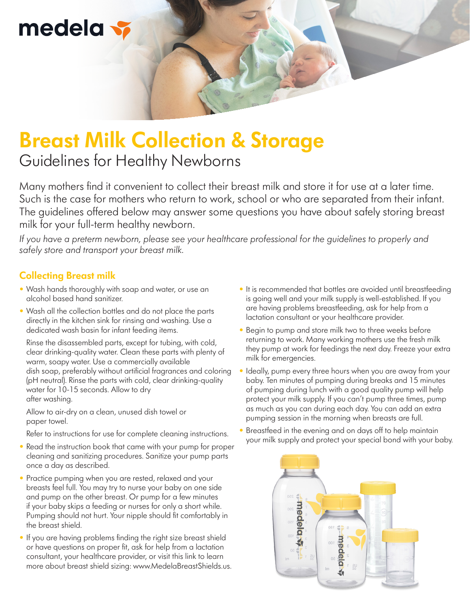# medela

## **Breast Milk Collection & Storage** Guidelines for Healthy Newborns

Many mothers find it convenient to collect their breast milk and store it for use at a later time. Such is the case for mothers who return to work, school or who are separated from their infant. The guidelines offered below may answer some questions you have about safely storing breast milk for your full-term healthy newborn.

*If you have a preterm newborn, please see your healthcare professional for the guidelines to properly and safely store and transport your breast milk.*

### **Collecting Breast milk**

- Wash hands thoroughly with soap and water, or use an alcohol based hand sanitizer.
- Wash all the collection bottles and do not place the parts directly in the kitchen sink for rinsing and washing. Use a dedicated wash basin for infant feeding items.

 Rinse the disassembled parts, except for tubing, with cold, clear drinking-quality water. Clean these parts with plenty of warm, soapy water. Use a commercially available dish soap, preferably without artificial fragrances and coloring (pH neutral). Rinse the parts with cold, clear drinking-quality water for 10-15 seconds. Allow to dry after washing.

 Allow to air-dry on a clean, unused dish towel or paper towel.

Refer to instructions for use for complete cleaning instructions.

- Read the instruction book that came with your pump for proper cleaning and sanitizing procedures. Sanitize your pump parts once a day as described.
- Practice pumping when you are rested, relaxed and your breasts feel full. You may try to nurse your baby on one side and pump on the other breast. Or pump for a few minutes if your baby skips a feeding or nurses for only a short while. Pumping should not hurt. Your nipple should fit comfortably in the breast shield.
- If you are having problems finding the right size breast shield or have questions on proper fit, ask for help from a lactation consultant, your healthcare provider, or visit this link to learn more about breast shield sizing: www.MedelaBreastShields.us.
- It is recommended that bottles are avoided until breastfeeding is going well and your milk supply is well-established. If you are having problems breastfeeding, ask for help from a lactation consultant or your healthcare provider.
- Begin to pump and store milk two to three weeks before returning to work. Many working mothers use the fresh milk they pump at work for feedings the next day. Freeze your extra milk for emergencies.
- Ideally, pump every three hours when you are away from your baby. Ten minutes of pumping during breaks and 15 minutes of pumping during lunch with a good quality pump will help protect your milk supply. If you can't pump three times, pump as much as you can during each day. You can add an extra pumping session in the morning when breasts are full.
- Breastfeed in the evening and on days off to help maintain your milk supply and protect your special bond with your baby.